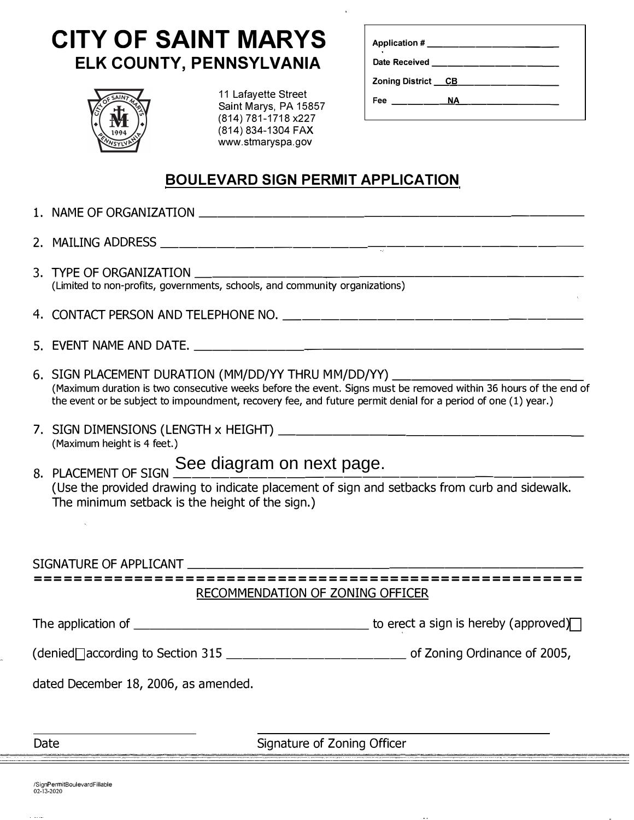## **CITY OF SAINT MARYS ELK COUNTY, PENNSYLVANIA**



11 Lafayette Street Saint Marys, PA 15857 (814) 781-1718 x227 (814) 834-1304 FAX www.stmaryspa.gov

| Application # ___________________________ |    |  |                                 |  |
|-------------------------------------------|----|--|---------------------------------|--|
| Date Received _________________           |    |  |                                 |  |
| <b>Zoning District CB</b>                 |    |  | <u> 1989 - Jan Alexandria (</u> |  |
| Fee<br>and the state of the state of the  | ΝA |  |                                 |  |
|                                           |    |  |                                 |  |

## **BOULEVARD SIGN PERMIT APPLICATION**

1. NAME OF ORGANIZATION **And the set of the set of the set of the set of the set of the set of the set of the s** 2. MAILING ADDRESS \_\_\_\_\_\_\_\_\_\_\_\_\_\_\_\_\_\_\_\_\_ \_ 3. TYPE OF ORGANIZATION (Limited to non-profits, governments, schools, and community organizations) 4. CONTACT PERSON AND TELEPHONE NO. \_\_\_\_\_\_\_\_\_\_\_\_\_\_\_ \_ 5. EVENT NAME AND DATE. \_\_\_\_\_\_\_\_\_\_\_\_\_\_\_\_\_\_\_\_ \_ 6. SIGN PLACEMENT DURATION (MM/DD/YY THRU MM/DD/YY) \_\_\_\_\_\_\_\_\_ \_ (Maximum duration is two consecutive weeks before the event. Signs must be removed within 36 hours of the end of the event or be subject to impoundment, recovery fee, and future permit denial for a period of one (1) year.) 7. SIGN DIMENSIONS (LENGTH x HEIGHT) \_\_\_\_\_\_\_\_\_\_\_\_\_\_\_\_ \_ (Maximum height is 4 feet.) 8. PLACEMENT OF SIGN (Use the provided drawing to indicate placement of sign and setbacks from curb and sidewalk. The minimum setback is the height of the sign.) SIGNATURE OF APPLICANT ------------ ------------------- ------------------ ----------------------------------- ------------------------ RECOMMENDATION OF ZONING OFFICER The application of \_\_\_\_\_\_\_\_\_\_\_\_\_\_\_ to er�ct a sign is hereby (approved) (denied□ according to Section 315 \_\_\_\_\_\_\_\_\_\_\_\_\_\_\_\_\_\_\_\_\_\_\_\_\_\_\_\_\_\_\_ of Zoning Ordinance of 2005, dated December 18, 2006, as amended. See diagram on next page.

Signature of Zoning Officer

Date